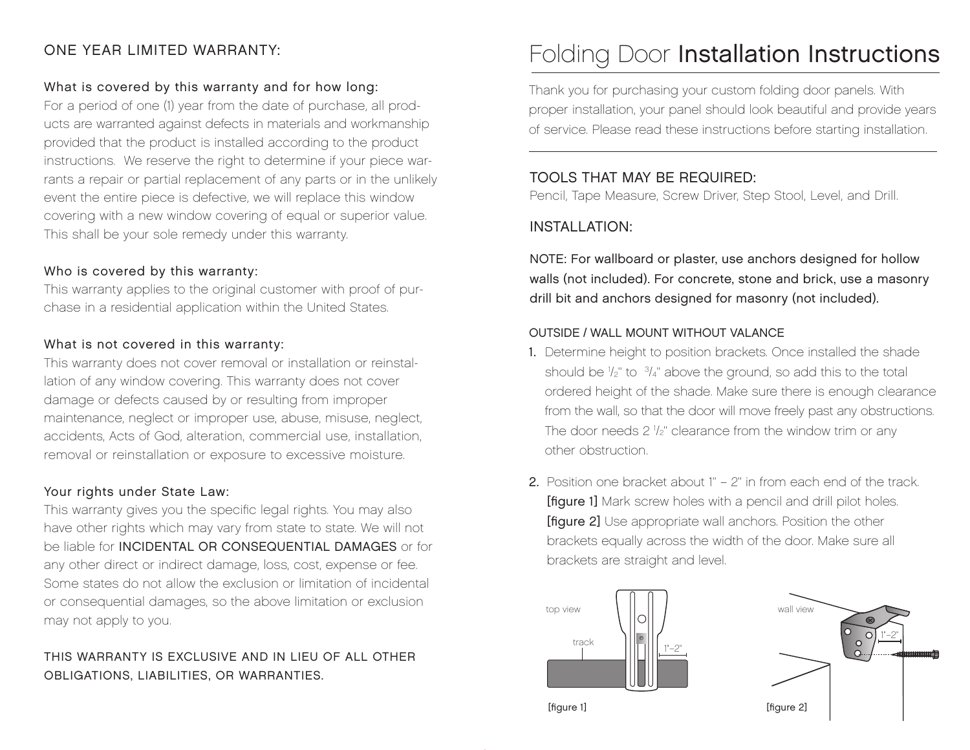# ONE YEAR LIMITED WARRANTY:

### What is covered by this warranty and for how long:

For a period of one (1) year from the date of purchase, all products are warranted against defects in materials and workmanship provided that the product is installed according to the product instructions. We reserve the right to determine if your piece warrants a repair or partial replacement of any parts or in the unlikely event the entire piece is defective, we will replace this window covering with a new window covering of equal or superior value. This shall be your sole remedy under this warranty.

#### Who is covered by this warranty:

This warranty applies to the original customer with proof of purchase in a residential application within the United States.

#### What is not covered in this warranty:

This warranty does not cover removal or installation or reinstallation of any window covering. This warranty does not cover damage or defects caused by or resulting from improper maintenance, neglect or improper use, abuse, misuse, neglect, accidents, Acts of God, alteration, commercial use, installation, removal or reinstallation or exposure to excessive moisture.

#### Your rights under State Law:

This warranty gives you the specific legal rights. You may also have other rights which may vary from state to state. We will not be liable for INCIDENTAL OR CONSEQUENTIAL DAMAGES or for any other direct or indirect damage, loss, cost, expense or fee. Some states do not allow the exclusion or limitation of incidental or consequential damages, so the above limitation or exclusion may not apply to you.

# THIS WARRANTY IS EXCLUSIVE AND IN LIEU OF ALL OTHER OBLIGATIONS, LIABILITIES, OR WARRANTIES.

# Folding Door Installation Instructions

Thank you for purchasing your custom folding door panels. With proper installation, your panel should look beautiful and provide years of service. Please read these instructions before starting installation.

# TOOLS THAT MAY BE REQUIRED:

Pencil, Tape Measure, Screw Driver, Step Stool, Level, and Drill.

## INSTALLATION:

NOTE: For wallboard or plaster, use anchors designed for hollow walls (not included). For concrete, stone and brick, use a masonry drill bit and anchors designed for masonry (not included).

#### OUTSIDE / Wall Mount without Valance

- 1. Determine height to position brackets. Once installed the shade should be  $\frac{1}{2}$ " to  $\frac{3}{4}$ " above the ground, so add this to the total ordered height of the shade. Make sure there is enough clearance from the wall, so that the door will move freely past any obstructions. The door needs 2  $\frac{1}{2}$ " clearance from the window trim or any other obstruction.
- 2. Position one bracket about  $1'' 2''$  in from each end of the track. [figure 1] Mark screw holes with a pencil and drill pilot holes. [figure 2] Use appropriate wall anchors. Position the other brackets equally across the width of the door. Make sure all brackets are straight and level.